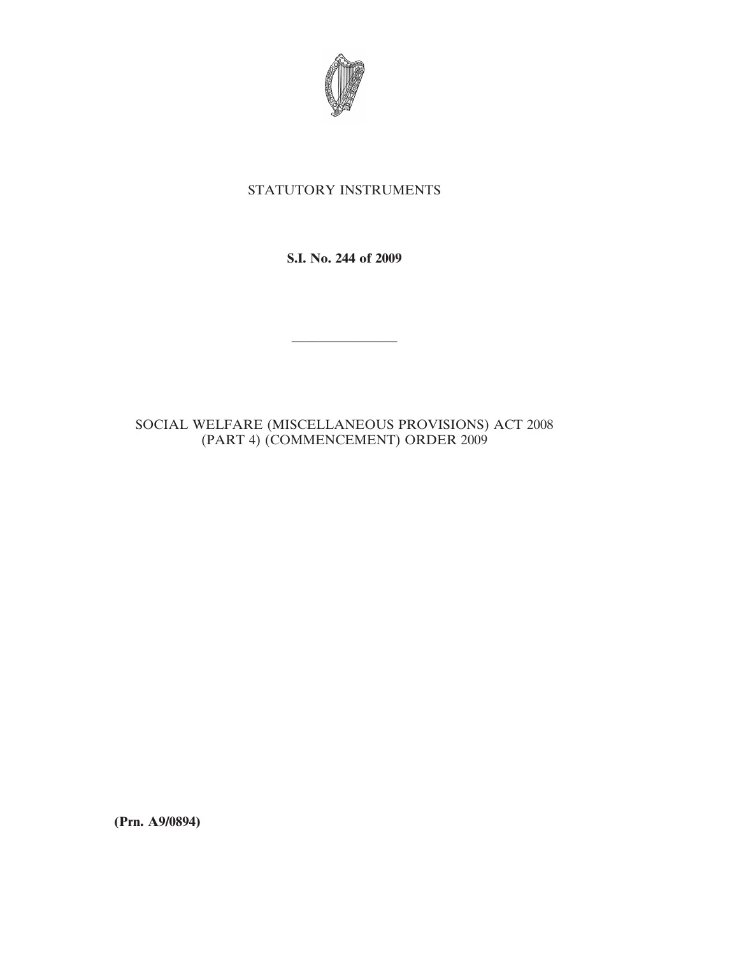

## STATUTORY INSTRUMENTS

**S.I. No. 244 of 2009**

————————

## SOCIAL WELFARE (MISCELLANEOUS PROVISIONS) ACT 2008 (PART 4) (COMMENCEMENT) ORDER 2009

**(Prn. A9/0894)**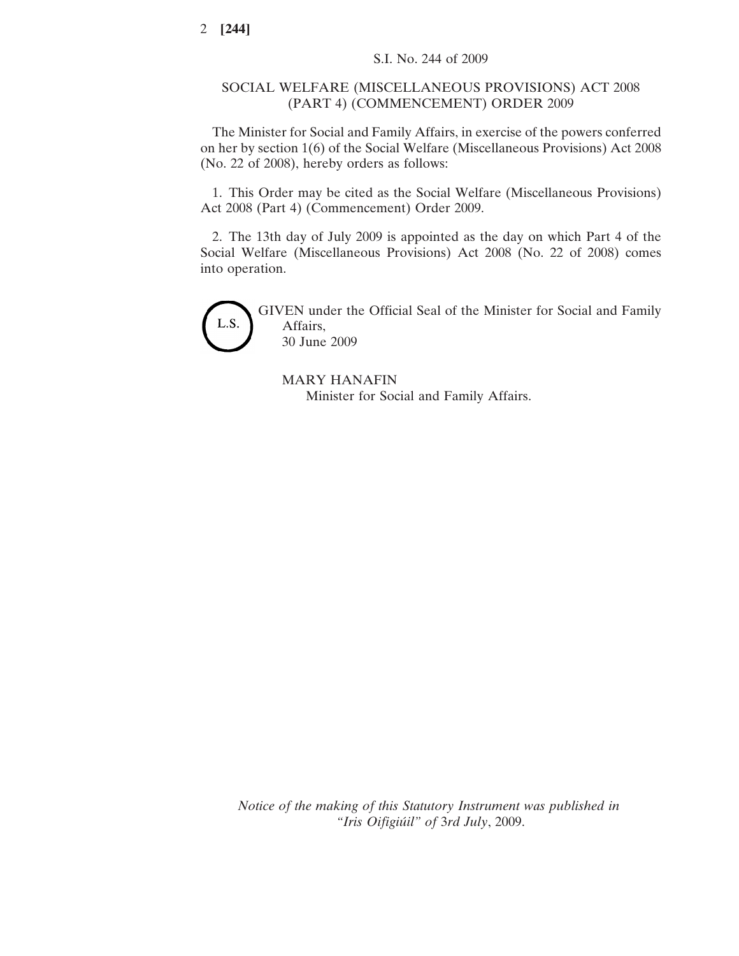## SOCIAL WELFARE (MISCELLANEOUS PROVISIONS) ACT 2008 (PART 4) (COMMENCEMENT) ORDER 2009

The Minister for Social and Family Affairs, in exercise of the powers conferred on her by section 1(6) of the Social Welfare (Miscellaneous Provisions) Act 2008 (No. 22 of 2008), hereby orders as follows:

1. This Order may be cited as the Social Welfare (Miscellaneous Provisions) Act 2008 (Part 4) (Commencement) Order 2009.

2. The 13th day of July 2009 is appointed as the day on which Part 4 of the Social Welfare (Miscellaneous Provisions) Act 2008 (No. 22 of 2008) comes into operation.



GIVEN under the Official Seal of the Minister for Social and Family Affairs, 30 June 2009

MARY HANAFIN Minister for Social and Family Affairs.

*Notice of the making of this Statutory Instrument was published in "Iris Oifigiu´il" of* 3*rd July*, 2009.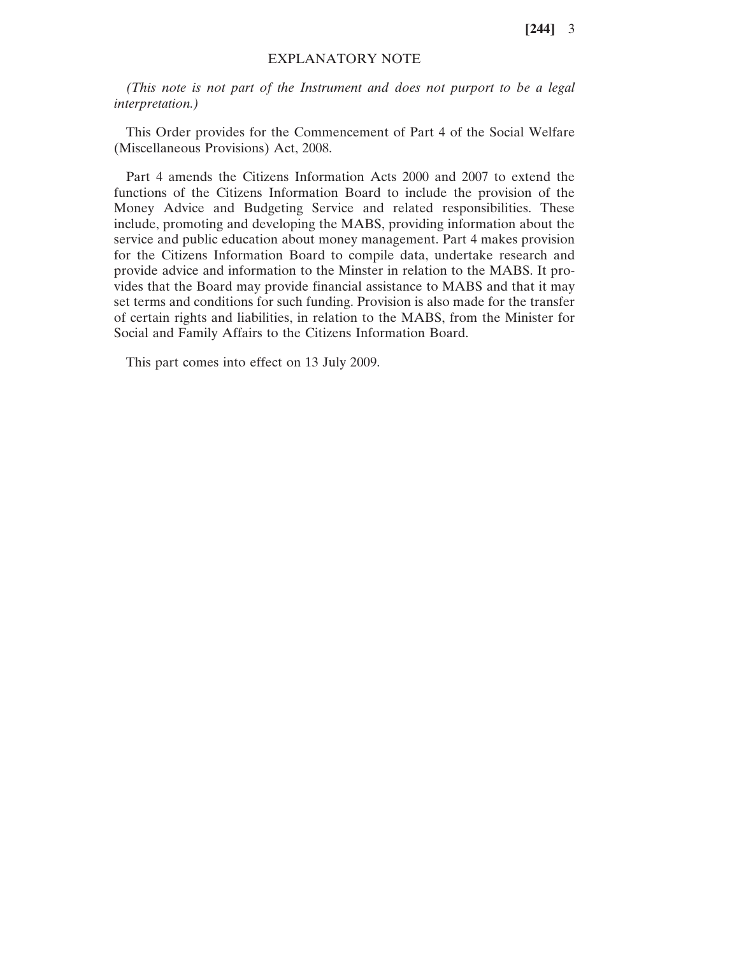**[244]** 3

## EXPLANATORY NOTE

*(This note is not part of the Instrument and does not purport to be a legal interpretation.)*

This Order provides for the Commencement of Part 4 of the Social Welfare (Miscellaneous Provisions) Act, 2008.

Part 4 amends the Citizens Information Acts 2000 and 2007 to extend the functions of the Citizens Information Board to include the provision of the Money Advice and Budgeting Service and related responsibilities. These include, promoting and developing the MABS, providing information about the service and public education about money management. Part 4 makes provision for the Citizens Information Board to compile data, undertake research and provide advice and information to the Minster in relation to the MABS. It provides that the Board may provide financial assistance to MABS and that it may set terms and conditions for such funding. Provision is also made for the transfer of certain rights and liabilities, in relation to the MABS, from the Minister for Social and Family Affairs to the Citizens Information Board.

This part comes into effect on 13 July 2009.